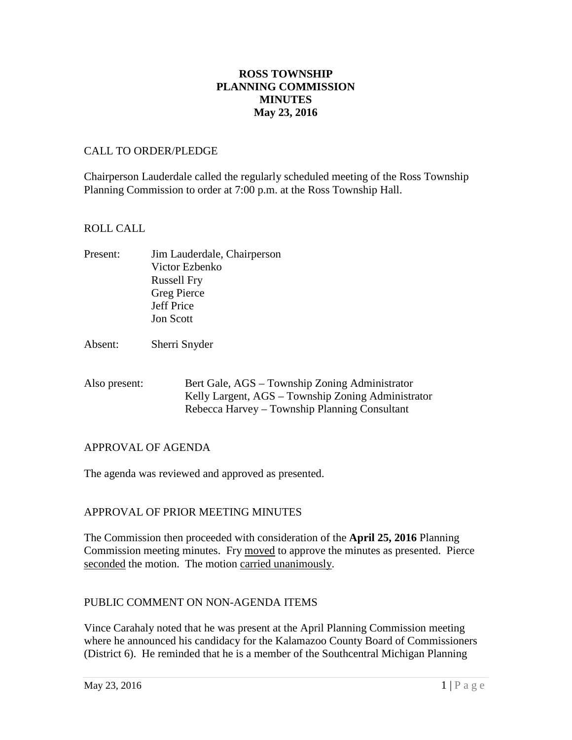# **ROSS TOWNSHIP PLANNING COMMISSION MINUTES May 23, 2016**

### CALL TO ORDER/PLEDGE

Chairperson Lauderdale called the regularly scheduled meeting of the Ross Township Planning Commission to order at 7:00 p.m. at the Ross Township Hall.

#### ROLL CALL

- Present: Jim Lauderdale, Chairperson Victor Ezbenko Russell Fry Greg Pierce Jeff Price Jon Scott
- Absent: Sherri Snyder
- Also present: Bert Gale, AGS Township Zoning Administrator Kelly Largent, AGS – Township Zoning Administrator Rebecca Harvey – Township Planning Consultant

## APPROVAL OF AGENDA

The agenda was reviewed and approved as presented.

## APPROVAL OF PRIOR MEETING MINUTES

The Commission then proceeded with consideration of the **April 25, 2016** Planning Commission meeting minutes. Fry moved to approve the minutes as presented. Pierce seconded the motion. The motion carried unanimously.

## PUBLIC COMMENT ON NON-AGENDA ITEMS

Vince Carahaly noted that he was present at the April Planning Commission meeting where he announced his candidacy for the Kalamazoo County Board of Commissioners (District 6). He reminded that he is a member of the Southcentral Michigan Planning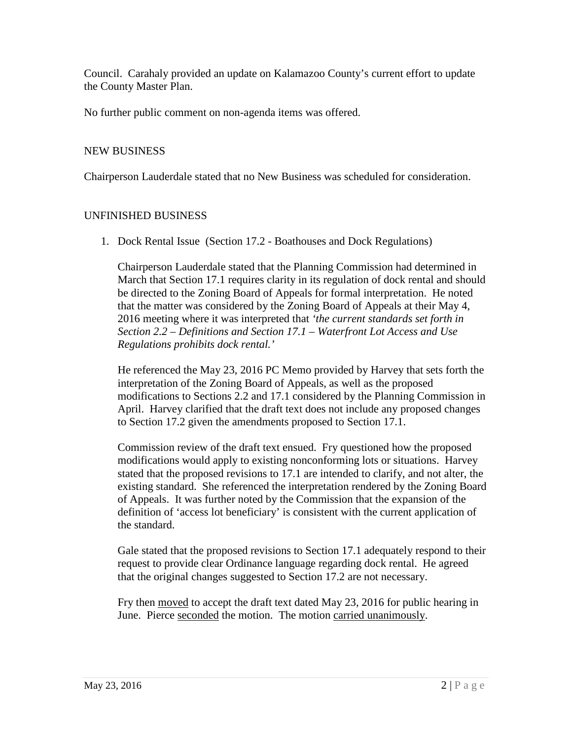Council. Carahaly provided an update on Kalamazoo County's current effort to update the County Master Plan.

No further public comment on non-agenda items was offered.

## NEW BUSINESS

Chairperson Lauderdale stated that no New Business was scheduled for consideration.

# UNFINISHED BUSINESS

1. Dock Rental Issue (Section 17.2 - Boathouses and Dock Regulations)

Chairperson Lauderdale stated that the Planning Commission had determined in March that Section 17.1 requires clarity in its regulation of dock rental and should be directed to the Zoning Board of Appeals for formal interpretation. He noted that the matter was considered by the Zoning Board of Appeals at their May 4, 2016 meeting where it was interpreted that *'the current standards set forth in Section 2.2 – Definitions and Section 17.1 – Waterfront Lot Access and Use Regulations prohibits dock rental.'* 

He referenced the May 23, 2016 PC Memo provided by Harvey that sets forth the interpretation of the Zoning Board of Appeals, as well as the proposed modifications to Sections 2.2 and 17.1 considered by the Planning Commission in April. Harvey clarified that the draft text does not include any proposed changes to Section 17.2 given the amendments proposed to Section 17.1.

Commission review of the draft text ensued. Fry questioned how the proposed modifications would apply to existing nonconforming lots or situations. Harvey stated that the proposed revisions to 17.1 are intended to clarify, and not alter, the existing standard. She referenced the interpretation rendered by the Zoning Board of Appeals. It was further noted by the Commission that the expansion of the definition of 'access lot beneficiary' is consistent with the current application of the standard.

Gale stated that the proposed revisions to Section 17.1 adequately respond to their request to provide clear Ordinance language regarding dock rental. He agreed that the original changes suggested to Section 17.2 are not necessary.

Fry then moved to accept the draft text dated May 23, 2016 for public hearing in June. Pierce seconded the motion. The motion carried unanimously.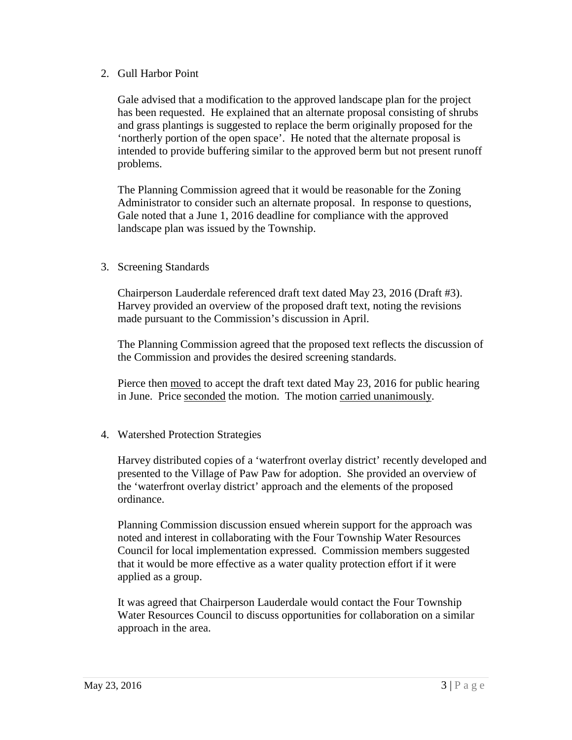### 2. Gull Harbor Point

Gale advised that a modification to the approved landscape plan for the project has been requested. He explained that an alternate proposal consisting of shrubs and grass plantings is suggested to replace the berm originally proposed for the 'northerly portion of the open space'. He noted that the alternate proposal is intended to provide buffering similar to the approved berm but not present runoff problems.

The Planning Commission agreed that it would be reasonable for the Zoning Administrator to consider such an alternate proposal. In response to questions, Gale noted that a June 1, 2016 deadline for compliance with the approved landscape plan was issued by the Township.

## 3. Screening Standards

Chairperson Lauderdale referenced draft text dated May 23, 2016 (Draft #3). Harvey provided an overview of the proposed draft text, noting the revisions made pursuant to the Commission's discussion in April.

The Planning Commission agreed that the proposed text reflects the discussion of the Commission and provides the desired screening standards.

Pierce then moved to accept the draft text dated May 23, 2016 for public hearing in June. Price seconded the motion. The motion carried unanimously.

## 4. Watershed Protection Strategies

Harvey distributed copies of a 'waterfront overlay district' recently developed and presented to the Village of Paw Paw for adoption. She provided an overview of the 'waterfront overlay district' approach and the elements of the proposed ordinance.

Planning Commission discussion ensued wherein support for the approach was noted and interest in collaborating with the Four Township Water Resources Council for local implementation expressed. Commission members suggested that it would be more effective as a water quality protection effort if it were applied as a group.

It was agreed that Chairperson Lauderdale would contact the Four Township Water Resources Council to discuss opportunities for collaboration on a similar approach in the area.